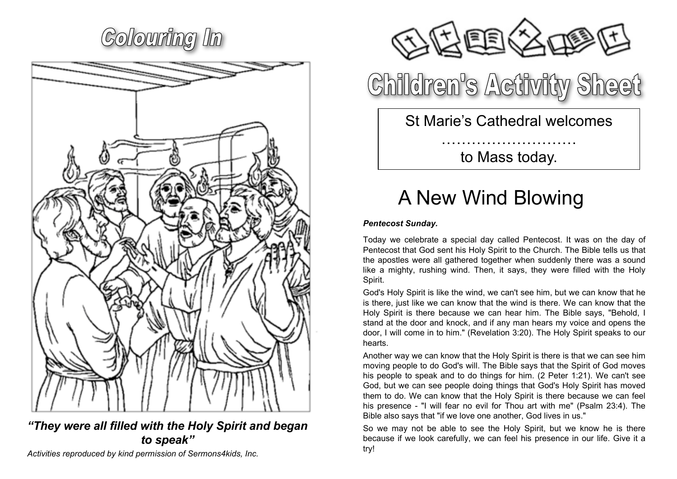## Colouring In



*"They were all filled with the Holy Spirit and began to speak"*



# Children's Activity Sheet

St Marie's Cathedral welcomes

……………………… to Mass today.

### A New Wind Blowing

#### *Pentecost Sunday.*

Today we celebrate a special day called Pentecost. It was on the day of Pentecost that God sent his Holy Spirit to the Church. The Bible tells us that the apostles were all gathered together when suddenly there was a sound like a mighty, rushing wind. Then, it says, they were filled with the Holy Spirit.

God's Holy Spirit is like the wind, we can't see him, but we can know that he is there, just like we can know that the wind is there. We can know that the Holy Spirit is there because we can hear him. The Bible says, "Behold, I stand at the door and knock, and if any man hears my voice and opens the door, I will come in to him." (Revelation 3:20). The Holy Spirit speaks to our hearts.

Another way we can know that the Holy Spirit is there is that we can see him moving people to do God's will. The Bible says that the Spirit of God moves his people to speak and to do things for him. (2 Peter 1:21). We can't see God, but we can see people doing things that God's Holy Spirit has moved them to do. We can know that the Holy Spirit is there because we can feel his presence - "I will fear no evil for Thou art with me" (Psalm 23:4). The Bible also says that "if we love one another, God lives in us."

So we may not be able to see the Holy Spirit, but we know he is there because if we look carefully, we can feel his presence in our life. Give it a try!

*Activities reproduced by kind permission of Sermons4kids, Inc.*